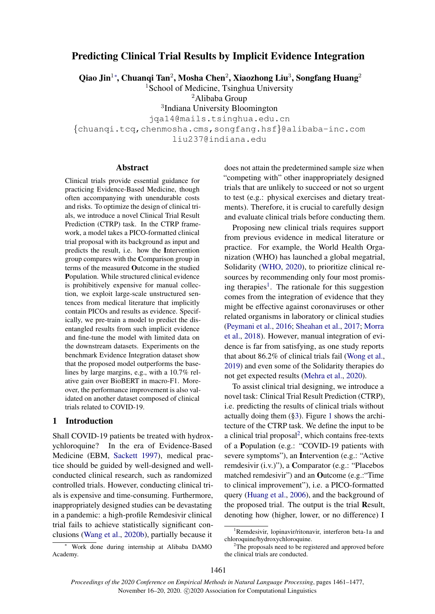# Predicting Clinical Trial Results by Implicit Evidence Integration

Qiao Jin $^{1*}$ , Chuanqi Tan $^{2}$ , Mosha Chen $^{2}$ , Xiaozhong Liu $^{3}$ , Songfang Huang $^{2}$ 

<sup>1</sup>School of Medicine, Tsinghua University

<sup>2</sup>Alibaba Group

3 Indiana University Bloomington

jqa14@mails.tsinghua.edu.cn

{chuanqi.tcq,chenmosha.cms,songfang.hsf}@alibaba-inc.com liu237@indiana.edu

#### Abstract

Clinical trials provide essential guidance for practicing Evidence-Based Medicine, though often accompanying with unendurable costs and risks. To optimize the design of clinical trials, we introduce a novel Clinical Trial Result Prediction (CTRP) task. In the CTRP framework, a model takes a PICO-formatted clinical trial proposal with its background as input and predicts the result, i.e. how the Intervention group compares with the Comparison group in terms of the measured Outcome in the studied Population. While structured clinical evidence is prohibitively expensive for manual collection, we exploit large-scale unstructured sentences from medical literature that implicitly contain PICOs and results as evidence. Specifically, we pre-train a model to predict the disentangled results from such implicit evidence and fine-tune the model with limited data on the downstream datasets. Experiments on the benchmark Evidence Integration dataset show that the proposed model outperforms the baselines by large margins, e.g., with a 10.7% relative gain over BioBERT in macro-F1. Moreover, the performance improvement is also validated on another dataset composed of clinical trials related to COVID-19.

#### <span id="page-0-2"></span>1 Introduction

Shall COVID-19 patients be treated with hydroxychloroquine? In the era of Evidence-Based Medicine (EBM, [Sackett](#page-9-0) [1997\)](#page-9-0), medical practice should be guided by well-designed and wellconducted clinical research, such as randomized controlled trials. However, conducting clinical trials is expensive and time-consuming. Furthermore, inappropriately designed studies can be devastating in a pandemic: a high-profile Remdesivir clinical trial fails to achieve statistically significant conclusions [\(Wang et al.,](#page-9-1) [2020b\)](#page-9-1), partially because it

<sup>∗</sup> Work done during internship at Alibaba DAMO Academy.

does not attain the predetermined sample size when "competing with" other inappropriately designed trials that are unlikely to succeed or not so urgent to test (e.g.: physical exercises and dietary treatments). Therefore, it is crucial to carefully design and evaluate clinical trials before conducting them.

Proposing new clinical trials requires support from previous evidence in medical literature or practice. For example, the World Health Organization (WHO) has launched a global megatrial, Solidarity [\(WHO,](#page-9-2) [2020\)](#page-9-2), to prioritize clinical resources by recommending only four most promis-ing therapies<sup>[1](#page-0-0)</sup>. The rationale for this suggestion comes from the integration of evidence that they might be effective against coronaviruses or other related organisms in laboratory or clinical studies [\(Peymani et al.,](#page-9-3) [2016;](#page-9-3) [Sheahan et al.,](#page-9-4) [2017;](#page-9-4) [Morra](#page-9-5) [et al.,](#page-9-5) [2018\)](#page-9-5). However, manual integration of evidence is far from satisfying, as one study reports that about 86.2% of clinical trials fail [\(Wong et al.,](#page-9-6) [2019\)](#page-9-6) and even some of the Solidarity therapies do not get expected results [\(Mehra et al.,](#page-8-0) [2020\)](#page-8-0).

To assist clinical trial designing, we introduce a novel task: Clinical Trial Result Prediction (CTRP), i.e. predicting the results of clinical trials without actually doing them ([§3\)](#page-2-0). Figure [1](#page-1-0) shows the architecture of the CTRP task. We define the input to be a clinical trial proposal<sup>[2](#page-0-1)</sup>, which contains free-texts of a Population (e.g.: "COVID-19 patients with severe symptoms"), an Intervention (e.g.: "Active remdesivir (i.v.)"), a Comparator (e.g.: "Placebos matched remdesivir") and an Outcome (e.g.:"Time to clinical improvement"), i.e. a PICO-formatted query [\(Huang et al.,](#page-8-1) [2006\)](#page-8-1), and the background of the proposed trial. The output is the trial Result, denoting how (higher, lower, or no difference) I

<span id="page-0-0"></span><sup>&</sup>lt;sup>1</sup>Remdesivir, lopinavir/ritonavir, interferon beta-1a and chloroquine/hydroxychloroquine.

<span id="page-0-1"></span>The proposals need to be registered and approved before the clinical trials are conducted.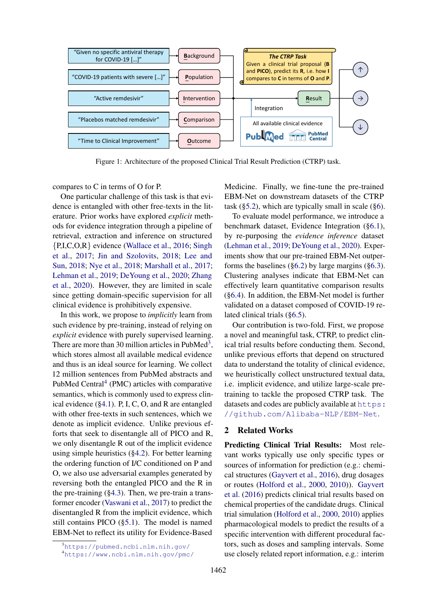<span id="page-1-0"></span>

Figure 1: Architecture of the proposed Clinical Trial Result Prediction (CTRP) task.

compares to C in terms of O for P.

One particular challenge of this task is that evidence is entangled with other free-texts in the literature. Prior works have explored *explicit* methods for evidence integration through a pipeline of retrieval, extraction and inference on structured {P,I,C,O,R} evidence [\(Wallace et al.,](#page-9-7) [2016;](#page-9-7) [Singh](#page-9-8) [et al.,](#page-9-8) [2017;](#page-9-8) [Jin and Szolovits,](#page-8-2) [2018;](#page-8-2) [Lee and](#page-8-3) [Sun,](#page-8-3) [2018;](#page-8-3) [Nye et al.,](#page-9-9) [2018;](#page-9-9) [Marshall et al.,](#page-8-4) [2017;](#page-8-4) [Lehman et al.,](#page-8-5) [2019;](#page-8-5) [DeYoung et al.,](#page-8-6) [2020;](#page-8-6) [Zhang](#page-10-0) [et al.,](#page-10-0) [2020\)](#page-10-0). However, they are limited in scale since getting domain-specific supervision for all clinical evidence is prohibitively expensive.

In this work, we propose to *implicitly* learn from such evidence by pre-training, instead of relying on *explicit* evidence with purely supervised learning. There are more than [3](#page-1-1)0 million articles in PubMed<sup>3</sup>, which stores almost all available medical evidence and thus is an ideal source for learning. We collect 12 million sentences from PubMed abstracts and PubMed Central<sup>[4](#page-1-2)</sup> (PMC) articles with comparative semantics, which is commonly used to express clinical evidence ([§4.1\)](#page-2-1). P, I, C, O, and R are entangled with other free-texts in such sentences, which we denote as implicit evidence. Unlike previous efforts that seek to disentangle all of PICO and R, we only disentangle R out of the implicit evidence using simple heuristics ([§4.2\)](#page-3-0). For better learning the ordering function of I/C conditioned on P and O, we also use adversarial examples generated by reversing both the entangled PICO and the R in the pre-training  $(\S 4.3)$ . Then, we pre-train a transformer encoder [\(Vaswani et al.,](#page-9-10) [2017\)](#page-9-10) to predict the disentangled R from the implicit evidence, which still contains PICO ([§5.1\)](#page-3-2). The model is named EBM-Net to reflect its utility for Evidence-Based

Medicine. Finally, we fine-tune the pre-trained EBM-Net on downstream datasets of the CTRP task  $(\S 5.2)$ , which are typically small in scale  $(\S 6)$ .

To evaluate model performance, we introduce a benchmark dataset, Evidence Integration ([§6.1\)](#page-4-2), by re-purposing the *evidence inference* dataset [\(Lehman et al.,](#page-8-5) [2019;](#page-8-5) [DeYoung et al.,](#page-8-6) [2020\)](#page-8-6). Experiments show that our pre-trained EBM-Net outperforms the baselines  $(\S6.2)$  by large margins  $(\S6.3)$ . Clustering analyses indicate that EBM-Net can effectively learn quantitative comparison results ([§6.4\)](#page-6-1). In addition, the EBM-Net model is further validated on a dataset composed of COVID-19 related clinical trials ([§6.5\)](#page-7-0).

Our contribution is two-fold. First, we propose a novel and meaningful task, CTRP, to predict clinical trial results before conducting them. Second, unlike previous efforts that depend on structured data to understand the totality of clinical evidence, we heuristically collect unstructured textual data, i.e. implicit evidence, and utilize large-scale pretraining to tackle the proposed CTRP task. The datasets and codes are publicly available at [https:](https://github.com/Alibaba-NLP/EBM-Net) [//github.com/Alibaba-NLP/EBM-Net](https://github.com/Alibaba-NLP/EBM-Net).

### 2 Related Works

Predicting Clinical Trial Results: Most relevant works typically use only specific types or sources of information for prediction (e.g.: chemical structures [\(Gayvert et al.,](#page-8-7) [2016\)](#page-8-7), drug dosages or routes [\(Holford et al.,](#page-8-8) [2000,](#page-8-8) [2010\)](#page-8-9)). [Gayvert](#page-8-7) [et al.](#page-8-7) [\(2016\)](#page-8-7) predicts clinical trial results based on chemical properties of the candidate drugs. Clinical trial simulation [\(Holford et al.,](#page-8-8) [2000,](#page-8-8) [2010\)](#page-8-9) applies pharmacological models to predict the results of a specific intervention with different procedural factors, such as doses and sampling intervals. Some use closely related report information, e.g.: interim

<span id="page-1-1"></span><sup>3</sup><https://pubmed.ncbi.nlm.nih.gov/>

<span id="page-1-2"></span><sup>4</sup><https://www.ncbi.nlm.nih.gov/pmc/>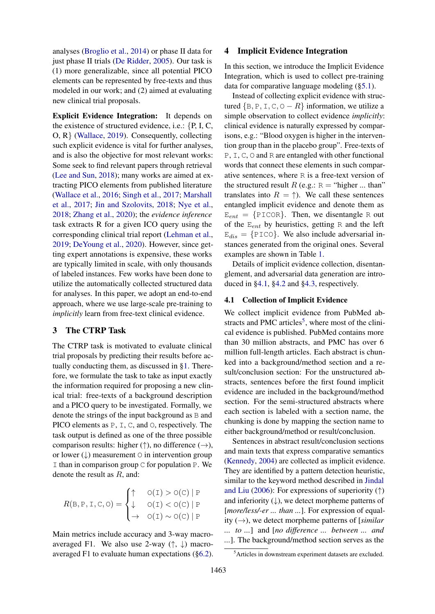analyses [\(Broglio et al.,](#page-8-10) [2014\)](#page-8-10) or phase II data for just phase II trials [\(De Ridder,](#page-8-11) [2005\)](#page-8-11). Our task is (1) more generalizable, since all potential PICO elements can be represented by free-texts and thus modeled in our work; and (2) aimed at evaluating new clinical trial proposals.

Explicit Evidence Integration: It depends on the existence of structured evidence, i.e.:  $\{P, I, C, \}$ O, R} [\(Wallace,](#page-9-11) [2019\)](#page-9-11). Consequently, collecting such explicit evidence is vital for further analyses, and is also the objective for most relevant works: Some seek to find relevant papers through retrieval [\(Lee and Sun,](#page-8-3) [2018\)](#page-8-3); many works are aimed at extracting PICO elements from published literature [\(Wallace et al.,](#page-9-7) [2016;](#page-9-7) [Singh et al.,](#page-9-8) [2017;](#page-9-8) [Marshall](#page-8-4) [et al.,](#page-8-4) [2017;](#page-8-4) [Jin and Szolovits,](#page-8-2) [2018;](#page-8-2) [Nye et al.,](#page-9-9) [2018;](#page-9-9) [Zhang et al.,](#page-10-0) [2020\)](#page-10-0); the *evidence inference* task extracts R for a given ICO query using the corresponding clinical trial report [\(Lehman et al.,](#page-8-5) [2019;](#page-8-5) [DeYoung et al.,](#page-8-6) [2020\)](#page-8-6). However, since getting expert annotations is expensive, these works are typically limited in scale, with only thousands of labeled instances. Few works have been done to utilize the automatically collected structured data for analyses. In this paper, we adopt an end-to-end approach, where we use large-scale pre-training to *implicitly* learn from free-text clinical evidence.

### <span id="page-2-0"></span>3 The CTRP Task

The CTRP task is motivated to evaluate clinical trial proposals by predicting their results before actually conducting them, as discussed in [§1.](#page-0-2) Therefore, we formulate the task to take as input exactly the information required for proposing a new clinical trial: free-texts of a background description and a PICO query to be investigated. Formally, we denote the strings of the input background as B and PICO elements as P, I, C, and O, respectively. The task output is defined as one of the three possible comparison results: higher ( $\uparrow$ ), no difference ( $\rightarrow$ ), or lower  $(\downarrow)$  measurement  $\circ$  in intervention group I than in comparison group  $\subset$  for population P. We denote the result as  $R$ , and:

$$
R(B, P, I, C, O) = \begin{cases} \uparrow & O(I) > O(C) | P \\ \downarrow & O(I) < O(C) | P \\ \rightarrow & O(I) \sim O(C) | P \end{cases}
$$

Main metrics include accuracy and 3-way macroaveraged F1. We also use 2-way  $(\uparrow, \downarrow)$  macroaveraged F1 to evaluate human expectations ([§6.2\)](#page-5-0).

#### 4 Implicit Evidence Integration

In this section, we introduce the Implicit Evidence Integration, which is used to collect pre-training data for comparative language modeling ([§5.1\)](#page-3-2).

Instead of collecting explicit evidence with structured  ${B, P, I, C, O - R}$  information, we utilize a simple observation to collect evidence *implicitly*: clinical evidence is naturally expressed by comparisons, e.g.: "Blood oxygen is higher in the intervention group than in the placebo group". Free-texts of P, I, C, O and R are entangled with other functional words that connect these elements in such comparative sentences, where R is a free-text version of the structured result  $R$  (e.g.:  $R =$  "higher ... than" translates into  $R = \uparrow$ ). We call these sentences entangled implicit evidence and denote them as  $E_{ent} = {PICOR}$ . Then, we disentangle R out of the  $E_{ent}$  by heuristics, getting R and the left  $E_{dis} = {PICO}$ . We also include adversarial instances generated from the original ones. Several examples are shown in Table [1.](#page-3-3)

Details of implicit evidence collection, disentanglement, and adversarial data generation are introduced in [§4.1,](#page-2-1) [§4.2](#page-3-0) and [§4.3,](#page-3-1) respectively.

#### <span id="page-2-1"></span>4.1 Collection of Implicit Evidence

We collect implicit evidence from PubMed ab-stracts and PMC articles<sup>[5](#page-2-2)</sup>, where most of the clinical evidence is published. PubMed contains more than 30 million abstracts, and PMC has over 6 million full-length articles. Each abstract is chunked into a background/method section and a result/conclusion section: For the unstructured abstracts, sentences before the first found implicit evidence are included in the background/method section. For the semi-structured abstracts where each section is labeled with a section name, the chunking is done by mapping the section name to either background/method or result/conclusion.

Sentences in abstract result/conclusion sections and main texts that express comparative semantics [\(Kennedy,](#page-8-12) [2004\)](#page-8-12) are collected as implicit evidence. They are identified by a pattern detection heuristic, similar to the keyword method described in [Jindal](#page-8-13) [and Liu](#page-8-13) [\(2006\)](#page-8-13): For expressions of superiority  $(†)$ and inferiority  $(\downarrow)$ , we detect morpheme patterns of [*more/less/-er ... than ...*]. For expression of equality (→), we detect morpheme patterns of [*similar ... to ...*] and [*no difference ... between ... and ...*]. The background/method section serves as the

<span id="page-2-2"></span><sup>5</sup>Articles in downstream experiment datasets are excluded.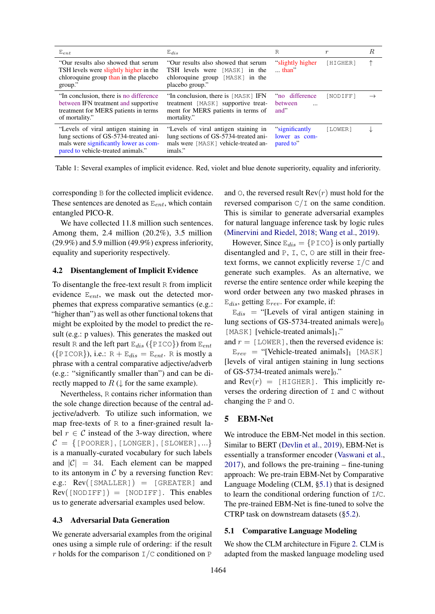<span id="page-3-3"></span>

| $E_{ent}$                                                                                                                                                    | $E_{dis}$                                                                                                                        | R                                                    | $\boldsymbol{r}$ | R |
|--------------------------------------------------------------------------------------------------------------------------------------------------------------|----------------------------------------------------------------------------------------------------------------------------------|------------------------------------------------------|------------------|---|
| "Our results also showed that serum<br>TSH levels were slightly higher in the<br>chloroquine group than in the placebo<br>group."                            | "Our results also showed that serum<br>TSH levels were [MASK] in the<br>chloroquine group [MASK] in the<br>placebo group."       | "slightly higher<br>$\ldots$ than"                   | [HIGHER]         | 个 |
| "In conclusion, there is no difference"<br>between IFN treatment and supportive<br>treatment for MERS patients in terms<br>of mortality."                    | "In conclusion, there is [MASK] IFN<br>treatment [MASK] supportive treat-<br>ment for MERS patients in terms of<br>mortality."   | no difference<br><b>between</b><br>$\ddotsc$<br>and" | [NODIFF]         |   |
| "Levels of viral antigen staining in<br>lung sections of GS-5734-treated ani-<br>mals were significantly lower as com-<br>pared to vehicle-treated animals." | "Levels of viral antigen staining in<br>lung sections of GS-5734-treated ani-<br>mals were [MASK] vehicle-treated an-<br>imals." | "significantly"<br>lower as com-<br>pared to"        | [LOWER]          |   |

Table 1: Several examples of implicit evidence. Red, violet and blue denote superiority, equality and inferiority.

corresponding B for the collected implicit evidence. These sentences are denoted as  $E_{ent}$ , which contain entangled PICO-R.

We have collected 11.8 million such sentences. Among them, 2.4 million (20.2%), 3.5 million (29.9%) and 5.9 million (49.9%) express inferiority, equality and superiority respectively.

#### <span id="page-3-0"></span>4.2 Disentanglement of Implicit Evidence

To disentangle the free-text result R from implicit evidence  $E_{ent}$ , we mask out the detected morphemes that express comparative semantics (e.g.: "higher than") as well as other functional tokens that might be exploited by the model to predict the result (e.g.: p values). This generates the masked out result R and the left part  $E_{dis}$  ({PICO}) from  $E_{ent}$ ( $\{PICOR\}$ ), i.e.:  $R + E_{dis} = E_{ent}$ . R is mostly a phrase with a central comparative adjective/adverb (e.g.: "significantly smaller than") and can be directly mapped to  $R \downarrow$  for the same example).

Nevertheless, R contains richer information than the sole change direction because of the central adjective/adverb. To utilize such information, we map free-texts of R to a finer-grained result label  $r \in \mathcal{C}$  instead of the 3-way direction, where  $C = \{$ [POORER], [LONGER], [SLOWER],...} is a manually-curated vocabulary for such labels and  $|C| = 34$ . Each element can be mapped to its antonym in  $C$  by a reversing function Rev: e.g.:  $Rev( [SMALLER] ) = [GREATER]$  and  $Rev(\text{[NODIFF]}) = \text{[NODIFF]}$ . This enables us to generate adversarial examples used below.

#### <span id="page-3-1"></span>4.3 Adversarial Data Generation

We generate adversarial examples from the original ones using a simple rule of ordering: if the result r holds for the comparison  $I/C$  conditioned on P

and  $\circ$ , the reversed result Rev $(r)$  must hold for the reversed comparison  $C/I$  on the same condition. This is similar to generate adversarial examples for natural language inference task by logic rules [\(Minervini and Riedel,](#page-9-12) [2018;](#page-9-12) [Wang et al.,](#page-9-13) [2019\)](#page-9-13).

However, Since  $E_{dis} = \{P \text{ICO}\}\$ is only partially disentangled and P, I, C, O are still in their freetext forms, we cannot explicitly reverse  $I/C$  and generate such examples. As an alternative, we reverse the entire sentence order while keeping the word order between any two masked phrases in  $E_{dis}$ , getting  $E_{rev}$ . For example, if:

 $E_{dis}$  = "[Levels of viral antigen staining in lung sections of GS-5734-treated animals were] $<sub>0</sub>$ </sub> [MASK] [vehicle-treated animals]1."

and  $r =$  [LOWER], then the reversed evidence is:  $E_{rev}$  = "[Vehicle-treated animals]<sub>1</sub> [MASK]

[levels of viral antigen staining in lung sections of GS-5734-treated animals were $]_0$ ." and  $\text{Rev}(r)$  = [HIGHER]. This implicitly re-

verses the ordering direction of  $I$  and  $C$  without changing the P and O.

#### <span id="page-3-4"></span>5 EBM-Net

We introduce the EBM-Net model in this section. Similar to BERT [\(Devlin et al.,](#page-8-14) [2019\)](#page-8-14), EBM-Net is essentially a transformer encoder [\(Vaswani et al.,](#page-9-10) [2017\)](#page-9-10), and follows the pre-training – fine-tuning approach: We pre-train EBM-Net by Comparative Language Modeling (CLM, [§5.1\)](#page-3-2) that is designed to learn the conditional ordering function of I/C. The pre-trained EBM-Net is fine-tuned to solve the CTRP task on downstream datasets ([§5.2\)](#page-4-0).

#### <span id="page-3-2"></span>5.1 Comparative Language Modeling

We show the CLM architecture in Figure [2.](#page-4-3) CLM is adapted from the masked language modeling used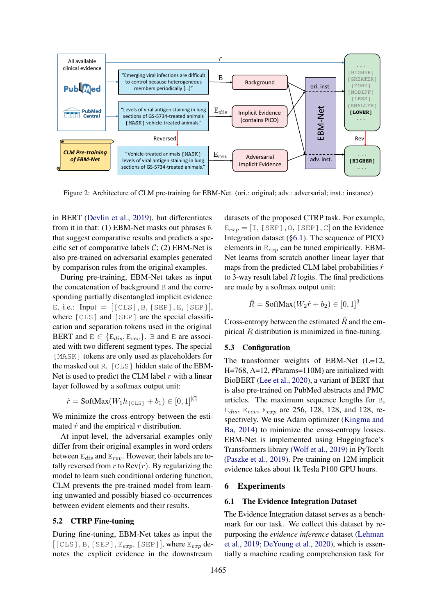<span id="page-4-3"></span>

Figure 2: Architecture of CLM pre-training for EBM-Net. (ori.: original; adv.: adversarial; inst.: instance)

in BERT [\(Devlin et al.,](#page-8-14) [2019\)](#page-8-14), but differentiates from it in that: (1) EBM-Net masks out phrases R that suggest comparative results and predicts a specific set of comparative labels  $C$ ; (2) EBM-Net is also pre-trained on adversarial examples generated by comparison rules from the original examples.

During pre-training, EBM-Net takes as input the concatenation of background B and the corresponding partially disentangled implicit evidence E, i.e.: Input =  $[[CLS], B, [SEP], E, [SEP]],$ where [CLS] and [SEP] are the special classification and separation tokens used in the original BERT and  $E \in \{E_{dis}, E_{rev}\}\$ . B and E are associated with two different segment types. The special [MASK] tokens are only used as placeholders for the masked out R. [CLS] hidden state of the EBM-Net is used to predict the CLM label  $r$  with a linear layer followed by a softmax output unit:

 $\hat{r} = \text{SoftMax}(W_1 h_{\text{[CLS]}} + b_1) \in [0, 1]^{|C|}$ 

We minimize the cross-entropy between the estimated  $\hat{r}$  and the empirical r distribution.

At input-level, the adversarial examples only differ from their original examples in word orders between  $E_{dis}$  and  $E_{rev}$ . However, their labels are totally reversed from  $r$  to  $Rev(r)$ . By regularizing the model to learn such conditional ordering function, CLM prevents the pre-trained model from learning unwanted and possibly biased co-occurrences between evident elements and their results.

#### <span id="page-4-0"></span>5.2 CTRP Fine-tuning

During fine-tuning, EBM-Net takes as input the  $[[CLS], B, [SEP], E_{exp}, [SEP],$  where  $E_{exp}$  denotes the explicit evidence in the downstream

datasets of the proposed CTRP task. For example,  $E_{exp} = [I, [SEP], O, [SEP], C]$  on the Evidence Integration dataset ([§6.1\)](#page-4-2). The sequence of PICO elements in  $E_{exp}$  can be tuned empirically. EBM-Net learns from scratch another linear layer that maps from the predicted CLM label probabilities  $\hat{r}$ to 3-way result label  $R$  logits. The final predictions are made by a softmax output unit:

$$
\hat{R} = \text{SoftMax}(W_2\hat{r} + b_2) \in [0, 1]^3
$$

Cross-entropy between the estimated  $\hat{R}$  and the empirical R distribution is minimized in fine-tuning.

#### 5.3 Configuration

The transformer weights of EBM-Net (L=12, H=768, A=12, #Params=110M) are initialized with BioBERT [\(Lee et al.,](#page-8-15) [2020\)](#page-8-15), a variant of BERT that is also pre-trained on PubMed abstracts and PMC articles. The maximum sequence lengths for B,  $E_{dis}$ ,  $E_{rev}$ ,  $E_{exp}$  are 256, 128, 128, and 128, respectively. We use Adam optimizer [\(Kingma and](#page-8-16) [Ba,](#page-8-16) [2014\)](#page-8-16) to minimize the cross-entropy losses. EBM-Net is implemented using Huggingface's Transformers library [\(Wolf et al.,](#page-9-14) [2019\)](#page-9-14) in PyTorch [\(Paszke et al.,](#page-9-15) [2019\)](#page-9-15). Pre-training on 12M implicit evidence takes about 1k Tesla P100 GPU hours.

#### <span id="page-4-1"></span>6 Experiments

#### <span id="page-4-2"></span>6.1 The Evidence Integration Dataset

The Evidence Integration dataset serves as a benchmark for our task. We collect this dataset by repurposing the *evidence inference* dataset [\(Lehman](#page-8-5) [et al.,](#page-8-5) [2019;](#page-8-5) [DeYoung et al.,](#page-8-6) [2020\)](#page-8-6), which is essentially a machine reading comprehension task for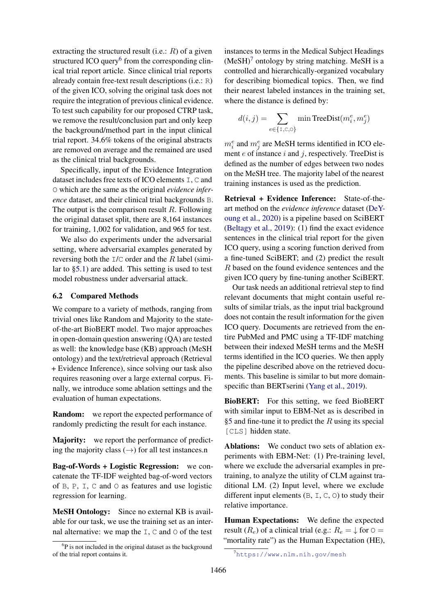extracting the structured result (i.e.:  $R$ ) of a given structured ICO query<sup>[6](#page-5-1)</sup> from the corresponding clinical trial report article. Since clinical trial reports already contain free-text result descriptions (i.e.: R) of the given ICO, solving the original task does not require the integration of previous clinical evidence. To test such capability for our proposed CTRP task, we remove the result/conclusion part and only keep the background/method part in the input clinical trial report. 34.6% tokens of the original abstracts are removed on average and the remained are used as the clinical trial backgrounds.

Specifically, input of the Evidence Integration dataset includes free texts of ICO elements I, C and O which are the same as the original *evidence inference* dataset, and their clinical trial backgrounds B. The output is the comparison result  $R$ . Following the original dataset split, there are 8,164 instances for training, 1,002 for validation, and 965 for test.

We also do experiments under the adversarial setting, where adversarial examples generated by reversing both the  $I/C$  order and the R label (similar to [§5.1\)](#page-3-2) are added. This setting is used to test model robustness under adversarial attack.

#### <span id="page-5-0"></span>6.2 Compared Methods

We compare to a variety of methods, ranging from trivial ones like Random and Majority to the stateof-the-art BioBERT model. Two major approaches in open-domain question answering (QA) are tested as well: the knowledge base (KB) approach (MeSH ontology) and the text/retrieval approach (Retrieval + Evidence Inference), since solving our task also requires reasoning over a large external corpus. Finally, we introduce some ablation settings and the evaluation of human expectations.

**Random:** we report the expected performance of randomly predicting the result for each instance.

Majority: we report the performance of predicting the majority class  $(\rightarrow)$  for all test instances.n

Bag-of-Words + Logistic Regression: we concatenate the TF-IDF weighted bag-of-word vectors of B, P, I, C and O as features and use logistic regression for learning.

MeSH Ontology: Since no external KB is available for our task, we use the training set as an internal alternative: we map the  $I, C$  and  $O$  of the test

instances to terms in the Medical Subject Headings  $(MeSH)^7$  $(MeSH)^7$  ontology by string matching. MeSH is a controlled and hierarchically-organized vocabulary for describing biomedical topics. Then, we find their nearest labeled instances in the training set, where the distance is defined by:

$$
d(i, j) = \sum_{e \in \{1, \text{C}, \text{O}\}} \min \text{TreeDist}(m_i^e, m_j^e)
$$

 $m_i^e$  and  $m_j^e$  are MeSH terms identified in ICO element  $e$  of instance  $i$  and  $j$ , respectively. TreeDist is defined as the number of edges between two nodes on the MeSH tree. The majority label of the nearest training instances is used as the prediction.

Retrieval + Evidence Inference: State-of-theart method on the *evidence inference* dataset [\(DeY](#page-8-6)[oung et al.,](#page-8-6) [2020\)](#page-8-6) is a pipeline based on SciBERT [\(Beltagy et al.,](#page-8-17) [2019\)](#page-8-17): (1) find the exact evidence sentences in the clinical trial report for the given ICO query, using a scoring function derived from a fine-tuned SciBERT; and (2) predict the result R based on the found evidence sentences and the given ICO query by fine-tuning another SciBERT.

Our task needs an additional retrieval step to find relevant documents that might contain useful results of similar trials, as the input trial background does not contain the result information for the given ICO query. Documents are retrieved from the entire PubMed and PMC using a TF-IDF matching between their indexed MeSH terms and the MeSH terms identified in the ICO queries. We then apply the pipeline described above on the retrieved documents. This baseline is similar to but more domain-specific than BERTserini [\(Yang et al.,](#page-9-16) [2019\)](#page-9-16).

BioBERT: For this setting, we feed BioBERT with similar input to EBM-Net as is described in [§5](#page-3-4) and fine-tune it to predict the  $R$  using its special [CLS] hidden state.

Ablations: We conduct two sets of ablation experiments with EBM-Net: (1) Pre-training level, where we exclude the adversarial examples in pretraining, to analyze the utility of CLM against traditional LM. (2) Input level, where we exclude different input elements (B, I, C, O) to study their relative importance.

Human Expectations: We define the expected result ( $R_e$ ) of a clinical trial (e.g.:  $R_e = \downarrow$  for  $\circ$  = "mortality rate") as the Human Expectation (HE),

<span id="page-5-1"></span><sup>&</sup>lt;sup>6</sup>P is not included in the original dataset as the background of the trial report contains it.

<span id="page-5-2"></span><sup>7</sup><https://www.nlm.nih.gov/mesh>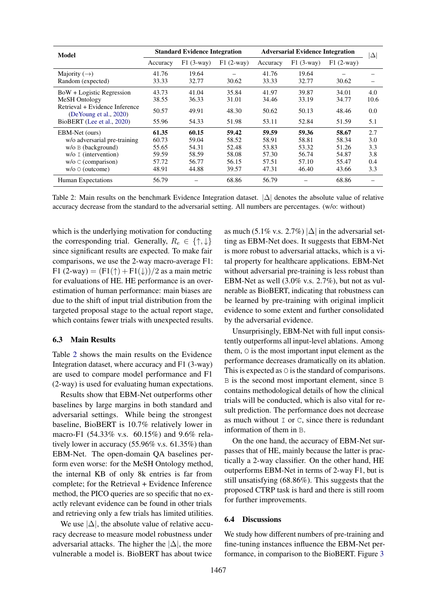<span id="page-6-2"></span>

| <b>Model</b>                                                 | <b>Standard Evidence Integration</b> |             |             | <b>Adversarial Evidence Integration</b> |             |             | $ \Delta $ |
|--------------------------------------------------------------|--------------------------------------|-------------|-------------|-----------------------------------------|-------------|-------------|------------|
|                                                              | Accuracy                             | $F1(3-Way)$ | $F1(2-way)$ | Accuracy                                | $F1(3-way)$ | $F1(2-wav)$ |            |
| Majority $(\rightarrow)$                                     | 41.76                                | 19.64       |             | 41.76                                   | 19.64       |             |            |
| Random (expected)                                            | 33.33                                | 32.77       | 30.62       | 33.33                                   | 32.77       | 30.62       |            |
| BoW + Logistic Regression                                    | 43.73                                | 41.04       | 35.84       | 41.97                                   | 39.87       | 34.01       | 4.0        |
| MeSH Ontology                                                | 38.55                                | 36.33       | 31.01       | 34.46                                   | 33.19       | 34.77       | 10.6       |
| Retrieval + Evidence Inference<br>(De Young et al., $2020$ ) | 50.57                                | 49.91       | 48.30       | 50.62                                   | 50.13       | 48.46       | 0.0        |
| BioBERT (Lee et al., 2020)                                   | 55.96                                | 54.33       | 51.98       | 53.11                                   | 52.84       | 51.59       | 5.1        |
| EBM-Net (ours)                                               | 61.35                                | 60.15       | 59.42       | 59.59                                   | 59.36       | 58.67       | 2.7        |
| w/o adversarial pre-training                                 | 60.73                                | 59.04       | 58.52       | 58.91                                   | 58.81       | 58.34       | 3.0        |
| $w/o \nvert B$ (background)                                  | 55.65                                | 54.31       | 52.48       | 53.83                                   | 53.32       | 51.26       | 3.3        |
| $w/o$ I (intervention)                                       | 59.59                                | 58.59       | 58.08       | 57.30                                   | 56.74       | 54.87       | 3.8        |
| $w/o$ C (comparison)                                         | 57.72                                | 56.77       | 56.15       | 57.51                                   | 57.10       | 55.47       | 0.4        |
| $w/o$ $\circ$ (outcome)                                      | 48.91                                | 44.88       | 39.57       | 47.31                                   | 46.40       | 43.66       | 3.3        |
| Human Expectations                                           | 56.79                                |             | 68.86       | 56.79                                   |             | 68.86       |            |

Table 2: Main results on the benchmark Evidence Integration dataset. |∆| denotes the absolute value of relative accuracy decrease from the standard to the adversarial setting. All numbers are percentages. (w/o: without)

which is the underlying motivation for conducting the corresponding trial. Generally,  $R_e \in \{\uparrow, \downarrow\}$ since significant results are expected. To make fair comparisons, we use the 2-way macro-average F1: F1 (2-way) =  $(F1(\uparrow) + F1(\downarrow))/2$  as a main metric for evaluations of HE. HE performance is an overestimation of human performance: main biases are due to the shift of input trial distribution from the targeted proposal stage to the actual report stage, which contains fewer trials with unexpected results.

#### <span id="page-6-0"></span>6.3 Main Results

Table [2](#page-6-2) shows the main results on the Evidence Integration dataset, where accuracy and F1 (3-way) are used to compare model performance and F1 (2-way) is used for evaluating human expectations.

Results show that EBM-Net outperforms other baselines by large margins in both standard and adversarial settings. While being the strongest baseline, BioBERT is 10.7% relatively lower in macro-F1 (54.33% v.s. 60.15%) and 9.6% relatively lower in accuracy (55.96% v.s. 61.35%) than EBM-Net. The open-domain QA baselines perform even worse: for the MeSH Ontology method, the internal KB of only 8k entries is far from complete; for the Retrieval + Evidence Inference method, the PICO queries are so specific that no exactly relevant evidence can be found in other trials and retrieving only a few trials has limited utilities.

We use  $|\Delta|$ , the absolute value of relative accuracy decrease to measure model robustness under adversarial attacks. The higher the  $|\Delta|$ , the more vulnerable a model is. BioBERT has about twice

as much (5.1% v.s. 2.7%)  $|\Delta|$  in the adversarial setting as EBM-Net does. It suggests that EBM-Net is more robust to adversarial attacks, which is a vital property for healthcare applications. EBM-Net without adversarial pre-training is less robust than EBM-Net as well (3.0% v.s. 2.7%), but not as vulnerable as BioBERT, indicating that robustness can be learned by pre-training with original implicit evidence to some extent and further consolidated by the adversarial evidence.

Unsurprisingly, EBM-Net with full input consistently outperforms all input-level ablations. Among them, O is the most important input element as the performance decreases dramatically on its ablation. This is expected as  $\circ$  is the standard of comparisons. B is the second most important element, since B contains methodological details of how the clinical trials will be conducted, which is also vital for result prediction. The performance does not decrease as much without  $I$  or  $C$ , since there is redundant information of them in B.

On the one hand, the accuracy of EBM-Net surpasses that of HE, mainly because the latter is practically a 2-way classifier. On the other hand, HE outperforms EBM-Net in terms of 2-way F1, but is still unsatisfying (68.86%). This suggests that the proposed CTRP task is hard and there is still room for further improvements.

#### <span id="page-6-1"></span>6.4 Discussions

We study how different numbers of pre-training and fine-tuning instances influence the EBM-Net performance, in comparison to the BioBERT. Figure [3](#page-7-1)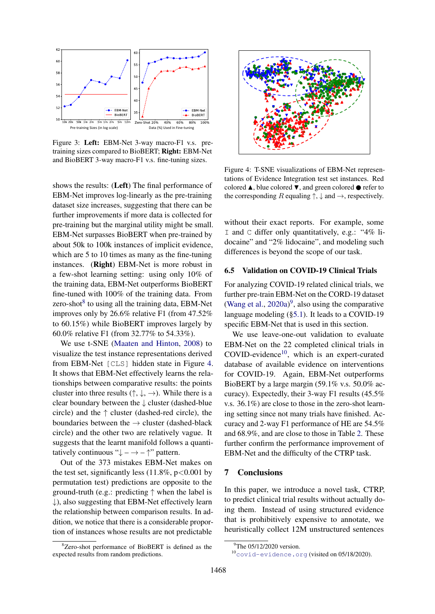<span id="page-7-1"></span>

Figure 3: Left: EBM-Net 3-way macro-F1 v.s. pretraining sizes compared to BioBERT; Right: EBM-Net and BioBERT 3-way macro-F1 v.s. fine-tuning sizes.

shows the results: (Left) The final performance of EBM-Net improves log-linearly as the pre-training dataset size increases, suggesting that there can be further improvements if more data is collected for pre-training but the marginal utility might be small. EBM-Net surpasses BioBERT when pre-trained by about 50k to 100k instances of implicit evidence, which are 5 to 10 times as many as the fine-tuning instances. (Right) EBM-Net is more robust in a few-shot learning setting: using only 10% of the training data, EBM-Net outperforms BioBERT fine-tuned with 100% of the training data. From zero-shot<sup>[8](#page-7-2)</sup> to using all the training data, EBM-Net improves only by 26.6% relative F1 (from 47.52% to 60.15%) while BioBERT improves largely by 60.0% relative F1 (from 32.77% to 54.33%).

We use t-SNE [\(Maaten and Hinton,](#page-8-18) [2008\)](#page-8-18) to visualize the test instance representations derived from EBM-Net [CLS] hidden state in Figure [4.](#page-7-3) It shows that EBM-Net effectively learns the relationships between comparative results: the points cluster into three results  $(\uparrow, \downarrow, \rightarrow)$ . While there is a clear boundary between the ↓ cluster (dashed-blue circle) and the  $\uparrow$  cluster (dashed-red circle), the boundaries between the  $\rightarrow$  cluster (dashed-black circle) and the other two are relatively vague. It suggests that the learnt manifold follows a quantitatively continuous " $\downarrow - \rightarrow - \uparrow$ " pattern.

Out of the 373 mistakes EBM-Net makes on the test set, significantly less  $(11.8\%, p<0.001$  by permutation test) predictions are opposite to the ground-truth (e.g.: predicting  $\uparrow$  when the label is  $\downarrow$ ), also suggesting that EBM-Net effectively learn the relationship between comparison results. In addition, we notice that there is a considerable proportion of instances whose results are not predictable

<span id="page-7-2"></span>

<span id="page-7-3"></span>

Figure 4: T-SNE visualizations of EBM-Net representations of Evidence Integration test set instances. Red colored  $\blacktriangle$ , blue colored  $\nabla$ , and green colored  $\blacklozenge$  refer to the corresponding R equaling  $\uparrow, \downarrow$  and  $\rightarrow$ , respectively.

without their exact reports. For example, some I and C differ only quantitatively, e.g.: "4% lidocaine" and "2% lidocaine", and modeling such differences is beyond the scope of our task.

#### <span id="page-7-0"></span>6.5 Validation on COVID-19 Clinical Trials

For analyzing COVID-19 related clinical trials, we further pre-train EBM-Net on the CORD-19 dataset [\(Wang et al.,](#page-9-17)  $2020a$ )<sup>[9](#page-7-4)</sup>, also using the comparative language modeling ([§5.1\)](#page-3-2). It leads to a COVID-19 specific EBM-Net that is used in this section.

We use leave-one-out validation to evaluate EBM-Net on the 22 completed clinical trials in  $COVID$ -evidence<sup>[10](#page-7-5)</sup>, which is an expert-curated database of available evidence on interventions for COVID-19. Again, EBM-Net outperforms BioBERT by a large margin (59.1% v.s. 50.0% accuracy). Expectedly, their 3-way F1 results (45.5% v.s. 36.1%) are close to those in the zero-shot learning setting since not many trials have finished. Accuracy and 2-way F1 performance of HE are 54.5% and 68.9%, and are close to those in Table [2.](#page-6-2) These further confirm the performance improvement of EBM-Net and the difficulty of the CTRP task.

#### 7 Conclusions

In this paper, we introduce a novel task, CTRP, to predict clinical trial results without actually doing them. Instead of using structured evidence that is prohibitively expensive to annotate, we heuristically collect 12M unstructured sentences

<span id="page-7-4"></span> $9^9$ The 05/12/2020 version.

<span id="page-7-5"></span><sup>10</sup><covid-evidence.org> (visited on 05/18/2020).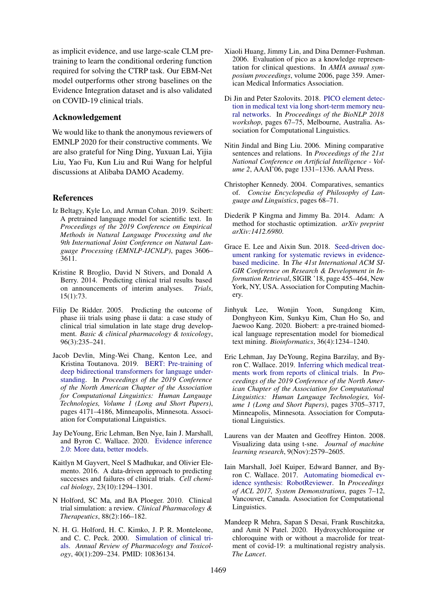as implicit evidence, and use large-scale CLM pretraining to learn the conditional ordering function required for solving the CTRP task. Our EBM-Net model outperforms other strong baselines on the Evidence Integration dataset and is also validated on COVID-19 clinical trials.

#### Acknowledgement

We would like to thank the anonymous reviewers of EMNLP 2020 for their constructive comments. We are also grateful for Ning Ding, Yuxuan Lai, Yijia Liu, Yao Fu, Kun Liu and Rui Wang for helpful discussions at Alibaba DAMO Academy.

#### References

- <span id="page-8-17"></span>Iz Beltagy, Kyle Lo, and Arman Cohan. 2019. Scibert: A pretrained language model for scientific text. In *Proceedings of the 2019 Conference on Empirical Methods in Natural Language Processing and the 9th International Joint Conference on Natural Language Processing (EMNLP-IJCNLP)*, pages 3606– 3611.
- <span id="page-8-10"></span>Kristine R Broglio, David N Stivers, and Donald A Berry. 2014. Predicting clinical trial results based on announcements of interim analyses. *Trials*, 15(1):73.
- <span id="page-8-11"></span>Filip De Ridder. 2005. Predicting the outcome of phase iii trials using phase ii data: a case study of clinical trial simulation in late stage drug development. *Basic & clinical pharmacology & toxicology*, 96(3):235–241.
- <span id="page-8-14"></span>Jacob Devlin, Ming-Wei Chang, Kenton Lee, and Kristina Toutanova. 2019. [BERT: Pre-training of](https://doi.org/10.18653/v1/N19-1423) [deep bidirectional transformers for language under](https://doi.org/10.18653/v1/N19-1423)[standing.](https://doi.org/10.18653/v1/N19-1423) In *Proceedings of the 2019 Conference of the North American Chapter of the Association for Computational Linguistics: Human Language Technologies, Volume 1 (Long and Short Papers)*, pages 4171–4186, Minneapolis, Minnesota. Association for Computational Linguistics.
- <span id="page-8-6"></span>Jay DeYoung, Eric Lehman, Ben Nye, Iain J. Marshall, and Byron C. Wallace. 2020. [Evidence inference](http://arxiv.org/abs/2005.04177) [2.0: More data, better models.](http://arxiv.org/abs/2005.04177)
- <span id="page-8-7"></span>Kaitlyn M Gayvert, Neel S Madhukar, and Olivier Elemento. 2016. A data-driven approach to predicting successes and failures of clinical trials. *Cell chemical biology*, 23(10):1294–1301.
- <span id="page-8-9"></span>N Holford, SC Ma, and BA Ploeger. 2010. Clinical trial simulation: a review. *Clinical Pharmacology & Therapeutics*, 88(2):166–182.
- <span id="page-8-8"></span>N. H. G. Holford, H. C. Kimko, J. P. R. Monteleone, and C. C. Peck. 2000. [Simulation of clinical tri](https://doi.org/10.1146/annurev.pharmtox.40.1.209)[als.](https://doi.org/10.1146/annurev.pharmtox.40.1.209) *Annual Review of Pharmacology and Toxicology*, 40(1):209–234. PMID: 10836134.
- <span id="page-8-1"></span>Xiaoli Huang, Jimmy Lin, and Dina Demner-Fushman. 2006. Evaluation of pico as a knowledge representation for clinical questions. In *AMIA annual symposium proceedings*, volume 2006, page 359. American Medical Informatics Association.
- <span id="page-8-2"></span>Di Jin and Peter Szolovits. 2018. [PICO element detec](https://doi.org/10.18653/v1/W18-2308)[tion in medical text via long short-term memory neu](https://doi.org/10.18653/v1/W18-2308)[ral networks.](https://doi.org/10.18653/v1/W18-2308) In *Proceedings of the BioNLP 2018 workshop*, pages 67–75, Melbourne, Australia. Association for Computational Linguistics.
- <span id="page-8-13"></span>Nitin Jindal and Bing Liu. 2006. Mining comparative sentences and relations. In *Proceedings of the 21st National Conference on Artificial Intelligence - Volume 2*, AAAI'06, page 1331–1336. AAAI Press.
- <span id="page-8-12"></span>Christopher Kennedy. 2004. Comparatives, semantics of. *Concise Encyclopedia of Philosophy of Language and Linguistics*, pages 68–71.
- <span id="page-8-16"></span>Diederik P Kingma and Jimmy Ba. 2014. Adam: A method for stochastic optimization. *arXiv preprint arXiv:1412.6980*.
- <span id="page-8-3"></span>Grace E. Lee and Aixin Sun. 2018. [Seed-driven doc](https://doi.org/10.1145/3209978.3209994)[ument ranking for systematic reviews in evidence](https://doi.org/10.1145/3209978.3209994)[based medicine.](https://doi.org/10.1145/3209978.3209994) In *The 41st International ACM SI-GIR Conference on Research & Development in Information Retrieval*, SIGIR '18, page 455–464, New York, NY, USA. Association for Computing Machinery.
- <span id="page-8-15"></span>Jinhyuk Lee, Wonjin Yoon, Sungdong Kim, Donghyeon Kim, Sunkyu Kim, Chan Ho So, and Jaewoo Kang. 2020. Biobert: a pre-trained biomedical language representation model for biomedical text mining. *Bioinformatics*, 36(4):1234–1240.
- <span id="page-8-5"></span>Eric Lehman, Jay DeYoung, Regina Barzilay, and Byron C. Wallace. 2019. [Inferring which medical treat](https://doi.org/10.18653/v1/N19-1371)[ments work from reports of clinical trials.](https://doi.org/10.18653/v1/N19-1371) In *Proceedings of the 2019 Conference of the North American Chapter of the Association for Computational Linguistics: Human Language Technologies, Volume 1 (Long and Short Papers)*, pages 3705–3717, Minneapolis, Minnesota. Association for Computational Linguistics.
- <span id="page-8-18"></span>Laurens van der Maaten and Geoffrey Hinton. 2008. Visualizing data using t-sne. *Journal of machine learning research*, 9(Nov):2579–2605.
- <span id="page-8-4"></span>Iain Marshall, Joël Kuiper, Edward Banner, and Byron C. Wallace. 2017. [Automating biomedical ev](https://www.aclweb.org/anthology/P17-4002)[idence synthesis: RobotReviewer.](https://www.aclweb.org/anthology/P17-4002) In *Proceedings of ACL 2017, System Demonstrations*, pages 7–12, Vancouver, Canada. Association for Computational Linguistics.
- <span id="page-8-0"></span>Mandeep R Mehra, Sapan S Desai, Frank Ruschitzka, and Amit N Patel. 2020. Hydroxychloroquine or chloroquine with or without a macrolide for treatment of covid-19: a multinational registry analysis. *The Lancet*.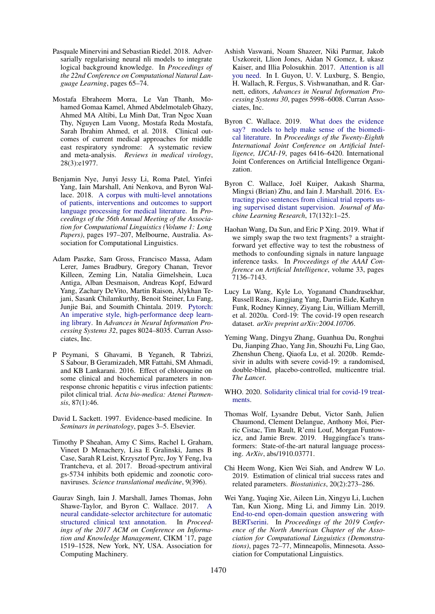- <span id="page-9-12"></span>Pasquale Minervini and Sebastian Riedel. 2018. Adversarially regularising neural nli models to integrate logical background knowledge. In *Proceedings of the 22nd Conference on Computational Natural Language Learning*, pages 65–74.
- <span id="page-9-5"></span>Mostafa Ebraheem Morra, Le Van Thanh, Mohamed Gomaa Kamel, Ahmed Abdelmotaleb Ghazy, Ahmed MA Altibi, Lu Minh Dat, Tran Ngoc Xuan Thy, Nguyen Lam Vuong, Mostafa Reda Mostafa, Sarah Ibrahim Ahmed, et al. 2018. Clinical outcomes of current medical approaches for middle east respiratory syndrome: A systematic review and meta-analysis. *Reviews in medical virology*, 28(3):e1977.
- <span id="page-9-9"></span>Benjamin Nye, Junyi Jessy Li, Roma Patel, Yinfei Yang, Iain Marshall, Ani Nenkova, and Byron Wallace. 2018. [A corpus with multi-level annotations](https://doi.org/10.18653/v1/P18-1019) [of patients, interventions and outcomes to support](https://doi.org/10.18653/v1/P18-1019) [language processing for medical literature.](https://doi.org/10.18653/v1/P18-1019) In *Proceedings of the 56th Annual Meeting of the Association for Computational Linguistics (Volume 1: Long Papers)*, pages 197–207, Melbourne, Australia. Association for Computational Linguistics.
- <span id="page-9-15"></span>Adam Paszke, Sam Gross, Francisco Massa, Adam Lerer, James Bradbury, Gregory Chanan, Trevor Killeen, Zeming Lin, Natalia Gimelshein, Luca Antiga, Alban Desmaison, Andreas Kopf, Edward Yang, Zachary DeVito, Martin Raison, Alykhan Tejani, Sasank Chilamkurthy, Benoit Steiner, Lu Fang, Junjie Bai, and Soumith Chintala. 2019. [Pytorch:](http://papers.neurips.cc/paper/9015-pytorch-an-imperative-style-high-performance-deep-learning-library.pdf) [An imperative style, high-performance deep learn](http://papers.neurips.cc/paper/9015-pytorch-an-imperative-style-high-performance-deep-learning-library.pdf)[ing library.](http://papers.neurips.cc/paper/9015-pytorch-an-imperative-style-high-performance-deep-learning-library.pdf) In *Advances in Neural Information Processing Systems 32*, pages 8024–8035. Curran Associates, Inc.
- <span id="page-9-3"></span>P Peymani, S Ghavami, B Yeganeh, R Tabrizi, S Sabour, B Geramizadeh, MR Fattahi, SM Ahmadi, and KB Lankarani. 2016. Effect of chloroquine on some clinical and biochemical parameters in nonresponse chronic hepatitis c virus infection patients: pilot clinical trial. *Acta bio-medica: Atenei Parmensis*, 87(1):46.
- <span id="page-9-0"></span>David L Sackett. 1997. Evidence-based medicine. In *Seminars in perinatology*, pages 3–5. Elsevier.
- <span id="page-9-4"></span>Timothy P Sheahan, Amy C Sims, Rachel L Graham, Vineet D Menachery, Lisa E Gralinski, James B Case, Sarah R Leist, Krzysztof Pyrc, Joy Y Feng, Iva Trantcheva, et al. 2017. Broad-spectrum antiviral gs-5734 inhibits both epidemic and zoonotic coronaviruses. *Science translational medicine*, 9(396).
- <span id="page-9-8"></span>Gaurav Singh, Iain J. Marshall, James Thomas, John Shawe-Taylor, and Byron C. Wallace. 2017. [A](https://doi.org/10.1145/3132847.3132989) [neural candidate-selector architecture for automatic](https://doi.org/10.1145/3132847.3132989) [structured clinical text annotation.](https://doi.org/10.1145/3132847.3132989) In *Proceedings of the 2017 ACM on Conference on Information and Knowledge Management*, CIKM '17, page 1519–1528, New York, NY, USA. Association for Computing Machinery.
- <span id="page-9-10"></span>Ashish Vaswani, Noam Shazeer, Niki Parmar, Jakob Uszkoreit, Llion Jones, Aidan N Gomez, Ł ukasz Kaiser, and Illia Polosukhin. 2017. [Attention is all](http://papers.nips.cc/paper/7181-attention-is-all-you-need.pdf) [you need.](http://papers.nips.cc/paper/7181-attention-is-all-you-need.pdf) In I. Guyon, U. V. Luxburg, S. Bengio, H. Wallach, R. Fergus, S. Vishwanathan, and R. Garnett, editors, *Advances in Neural Information Processing Systems 30*, pages 5998–6008. Curran Associates, Inc.
- <span id="page-9-11"></span>Byron C. Wallace. 2019. [What does the evidence](https://doi.org/10.24963/ijcai.2019/899) [say? models to help make sense of the biomedi](https://doi.org/10.24963/ijcai.2019/899)[cal literature.](https://doi.org/10.24963/ijcai.2019/899) In *Proceedings of the Twenty-Eighth International Joint Conference on Artificial Intelligence, IJCAI-19*, pages 6416–6420. International Joint Conferences on Artificial Intelligence Organization.
- <span id="page-9-7"></span>Byron C. Wallace, Joël Kuiper, Aakash Sharma, Mingxi (Brian) Zhu, and Iain J. Marshall. 2016. [Ex](http://jmlr.org/papers/v17/15-404.html)[tracting pico sentences from clinical trial reports us](http://jmlr.org/papers/v17/15-404.html)[ing supervised distant supervision.](http://jmlr.org/papers/v17/15-404.html) *Journal of Machine Learning Research*, 17(132):1–25.
- <span id="page-9-13"></span>Haohan Wang, Da Sun, and Eric P Xing. 2019. What if we simply swap the two text fragments? a straightforward yet effective way to test the robustness of methods to confounding signals in nature language inference tasks. In *Proceedings of the AAAI Conference on Artificial Intelligence*, volume 33, pages 7136–7143.
- <span id="page-9-17"></span>Lucy Lu Wang, Kyle Lo, Yoganand Chandrasekhar, Russell Reas, Jiangjiang Yang, Darrin Eide, Kathryn Funk, Rodney Kinney, Ziyang Liu, William Merrill, et al. 2020a. Cord-19: The covid-19 open research dataset. *arXiv preprint arXiv:2004.10706*.
- <span id="page-9-1"></span>Yeming Wang, Dingyu Zhang, Guanhua Du, Ronghui Du, Jianping Zhao, Yang Jin, Shouzhi Fu, Ling Gao, Zhenshun Cheng, Qiaofa Lu, et al. 2020b. Remdesivir in adults with severe covid-19: a randomised, double-blind, placebo-controlled, multicentre trial. *The Lancet*.
- <span id="page-9-2"></span>WHO. 2020. [Solidarity clinical trial for covid-19 treat](https://www.who.int/emergencies/diseases/novel-coronavirus-2019/global-research-on-novel-coronavirus-2019-ncov/solidarity-clinical-trial-for-covid-19-treatments)[ments.](https://www.who.int/emergencies/diseases/novel-coronavirus-2019/global-research-on-novel-coronavirus-2019-ncov/solidarity-clinical-trial-for-covid-19-treatments)
- <span id="page-9-14"></span>Thomas Wolf, Lysandre Debut, Victor Sanh, Julien Chaumond, Clement Delangue, Anthony Moi, Pierric Cistac, Tim Rault, R'emi Louf, Morgan Funtowicz, and Jamie Brew. 2019. Huggingface's transformers: State-of-the-art natural language processing. *ArXiv*, abs/1910.03771.
- <span id="page-9-6"></span>Chi Heem Wong, Kien Wei Siah, and Andrew W Lo. 2019. Estimation of clinical trial success rates and related parameters. *Biostatistics*, 20(2):273–286.
- <span id="page-9-16"></span>Wei Yang, Yuqing Xie, Aileen Lin, Xingyu Li, Luchen Tan, Kun Xiong, Ming Li, and Jimmy Lin. 2019. [End-to-end open-domain question answering with](https://doi.org/10.18653/v1/N19-4013) [BERTserini.](https://doi.org/10.18653/v1/N19-4013) In *Proceedings of the 2019 Conference of the North American Chapter of the Association for Computational Linguistics (Demonstrations)*, pages 72–77, Minneapolis, Minnesota. Association for Computational Linguistics.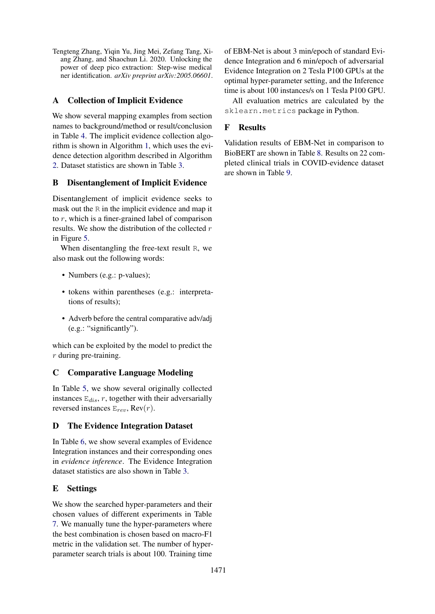<span id="page-10-0"></span>Tengteng Zhang, Yiqin Yu, Jing Mei, Zefang Tang, Xiang Zhang, and Shaochun Li. 2020. Unlocking the power of deep pico extraction: Step-wise medical ner identification. *arXiv preprint arXiv:2005.06601*.

## A Collection of Implicit Evidence

We show several mapping examples from section names to background/method or result/conclusion in Table [4.](#page-11-0) The implicit evidence collection algorithm is shown in Algorithm [1,](#page-13-0) which uses the evidence detection algorithm described in Algorithm [2.](#page-14-0) Dataset statistics are shown in Table [3.](#page-11-1)

### B Disentanglement of Implicit Evidence

Disentanglement of implicit evidence seeks to mask out the R in the implicit evidence and map it to r, which is a finer-grained label of comparison results. We show the distribution of the collected  $r$ in Figure [5.](#page-11-2)

When disentangling the free-text result R, we also mask out the following words:

- Numbers (e.g.: p-values);
- tokens within parentheses (e.g.: interpretations of results);
- Adverb before the central comparative adv/adj (e.g.: "significantly").

which can be exploited by the model to predict the r during pre-training.

### C Comparative Language Modeling

In Table [5,](#page-12-0) we show several originally collected instances  $E_{dis}$ , r, together with their adversarially reversed instances  $E_{rev}$ , Rev $(r)$ .

### D The Evidence Integration Dataset

In Table [6,](#page-15-0) we show several examples of Evidence Integration instances and their corresponding ones in *evidence inference*. The Evidence Integration dataset statistics are also shown in Table [3.](#page-11-1)

# E Settings

We show the searched hyper-parameters and their chosen values of different experiments in Table [7.](#page-16-0) We manually tune the hyper-parameters where the best combination is chosen based on macro-F1 metric in the validation set. The number of hyperparameter search trials is about 100. Training time

of EBM-Net is about 3 min/epoch of standard Evidence Integration and 6 min/epoch of adversarial Evidence Integration on 2 Tesla P100 GPUs at the optimal hyper-parameter setting, and the Inference time is about 100 instances/s on 1 Tesla P100 GPU.

All evaluation metrics are calculated by the sklearn.metrics package in Python.

### F Results

Validation results of EBM-Net in comparison to BioBERT are shown in Table [8.](#page-16-1) Results on 22 completed clinical trials in COVID-evidence dataset are shown in Table [9.](#page-16-2)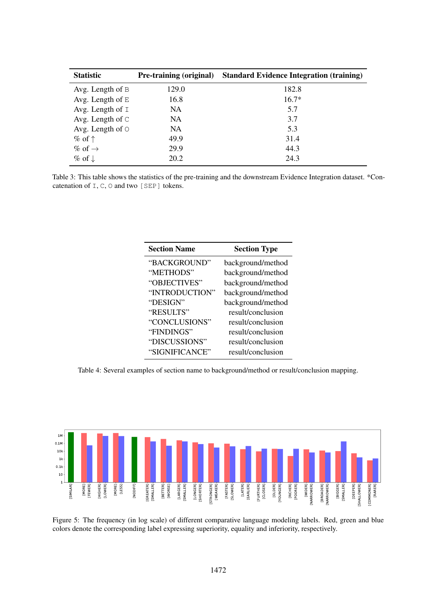<span id="page-11-1"></span>

| <b>Statistic</b>         | <b>Pre-training (original)</b> | <b>Standard Evidence Integration (training)</b> |
|--------------------------|--------------------------------|-------------------------------------------------|
| Avg. Length of $B$       | 129.0                          | 182.8                                           |
| Avg. Length of $E$       | 16.8                           | $16.7*$                                         |
| Avg. Length of $I$       | NA                             | 5.7                                             |
| Avg. Length of $\subset$ | NA.                            | 3.7                                             |
| Avg. Length of $\circ$   | NA.                            | 5.3                                             |
| $\%$ of $\uparrow$       | 49.9                           | 31.4                                            |
| % of $\rightarrow$       | 29.9                           | 44.3                                            |
| $\%$ of $\downarrow$     | 20.2                           | 24.3                                            |

<span id="page-11-0"></span>Table 3: This table shows the statistics of the pre-training and the downstream Evidence Integration dataset. \*Concatenation of I, C, O and two [SEP] tokens.

| <b>Section Name</b> | <b>Section Type</b> |
|---------------------|---------------------|
| "BACKGROUND"        | background/method   |
| "METHODS"           | background/method   |
| "OBJECTIVES"        | background/method   |
| "INTRODUCTION"      | background/method   |
| "DESIGN"            | background/method   |
| "RESULTS"           | result/conclusion   |
| "CONCLUSIONS"       | result/conclusion   |
| "FINDINGS"          | result/conclusion   |
| "DISCUSSIONS"       | result/conclusion   |
| "SIGNIFICANCE"      | result/conclusion   |
|                     |                     |

Table 4: Several examples of section name to background/method or result/conclusion mapping.

<span id="page-11-2"></span>

Figure 5: The frequency (in log scale) of different comparative language modeling labels. Red, green and blue colors denote the corresponding label expressing superiority, equality and inferiority, respectively.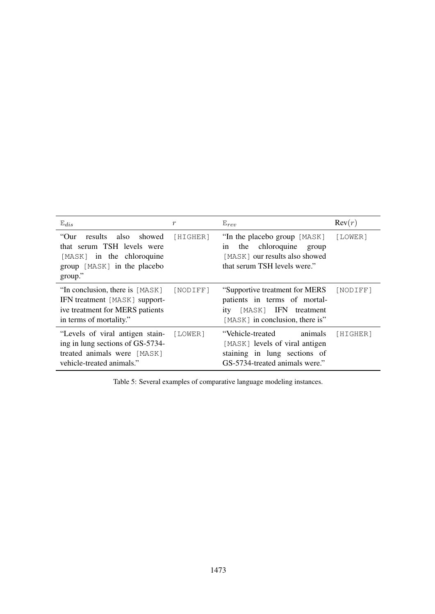<span id="page-12-0"></span>

| $E_{dis}$                                                                                                                        | r        | $E_{rev}$                                                                                                                         | Rev(r)   |
|----------------------------------------------------------------------------------------------------------------------------------|----------|-----------------------------------------------------------------------------------------------------------------------------------|----------|
| "Our<br>results also showed<br>that serum TSH levels were<br>[MASK] in the chloroquine<br>group [MASK] in the placebo<br>group." | [HIGHER] | "In the placebo group [MASK]<br>the chloroquine<br>group<br>1n<br>[MASK] our results also showed<br>that serum TSH levels were."  | [LOWER]  |
| "In conclusion, there is [MASK]<br>IFN treatment [MASK] support-<br>ive treatment for MERS patients<br>in terms of mortality."   | [NODIFF] | "Supportive treatment for MERS"<br>patients in terms of mortal-<br>[MASK] IFN treatment<br>ity<br>[MASK] in conclusion, there is" | [NODIFF] |
| "Levels of viral antigen stain-<br>ing in lung sections of GS-5734-<br>treated animals were [MASK]<br>vehicle-treated animals."  | [LOWER]  | animals<br>"Vehicle-treated<br>[MASK] levels of viral antigen<br>staining in lung sections of<br>GS-5734-treated animals were."   | [HIGHER] |

Table 5: Several examples of comparative language modeling instances.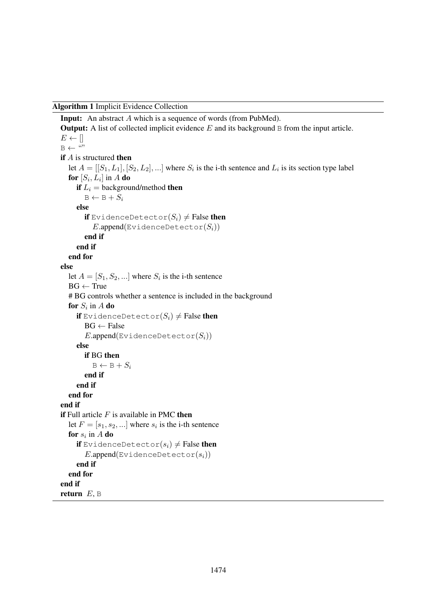<span id="page-13-0"></span>Algorithm 1 Implicit Evidence Collection

```
Input: An abstract A which is a sequence of words (from PubMed).
Output: A list of collected implicit evidence E and its background B from the input article.
E \leftarrow []B \leftarrow ""
if A is structured then
   let A = [[S_1, L_1], [S_2, L_2],...] where S_i is the i-th sentence and L_i is its section type label
   for \left[S_i,L_i\right] in A do
     if L_i = background/method then
        B \leftarrow B + S_ielse
        if EvidenceDetector(S_i) \neq False then
           E.append(\text{EvidenceDetector}(S_i))end if
     end if
  end for
else
   let A = [S_1, S_2, \dots] where S_i is the i-th sentence
  BG \leftarrow True# BG controls whether a sentence is included in the background
   for S_i in A do
     if EvidenceDetector(S_i) \neq False then
        BG \leftarrow FalseE.append(\text{EvidenceDetector}(S_i))else
        if BG then
          B \leftarrow B + S_iend if
     end if
  end for
end if
if Full article F is available in PMC then
   let F = [s_1, s_2, \ldots] where s_i is the i-th sentence
   for s_i in A do
     if EvidenceDetector(s_i) \neq False then
        E.append(\text{EvidenceDetector}(s_i))end if
  end for
end if
return E, B
```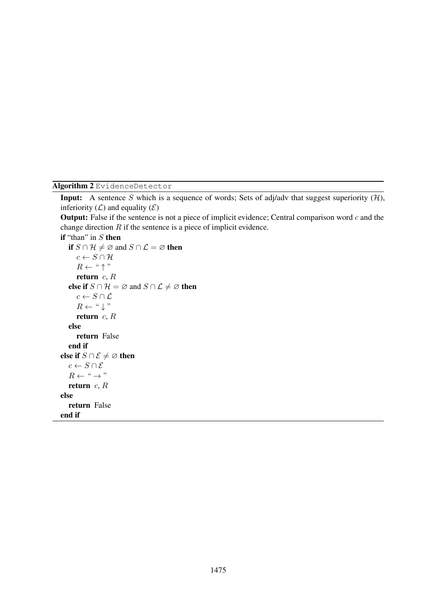<span id="page-14-0"></span>Algorithm 2 EvidenceDetector

**Input:** A sentence S which is a sequence of words; Sets of adj/adv that suggest superiority  $(H)$ , inferiority  $(L)$  and equality  $(\mathcal{E})$ 

**Output:** False if the sentence is not a piece of implicit evidence; Central comparison word  $c$  and the change direction  $R$  if the sentence is a piece of implicit evidence.

```
if "than" in S then
    if S \cap \mathcal{H} \neq \emptyset and S \cap \mathcal{L} = \emptyset then
        c \leftarrow S \cap \mathcal{H}R \leftarrow " \uparrow"
        return c, Relse if S \cap \mathcal{H} = \emptyset and S \cap \mathcal{L} \neq \emptyset then
        c \leftarrow S \cap \mathcal{L}R \leftarrow " \downarrow "
        return c, Relse
        return False
    end if
else if S \cap \mathcal{E} \neq \varnothing then
    c \leftarrow S \cap \mathcal{E}R \leftarrow " \rightarrow"return c, Relse
    return False
end if
```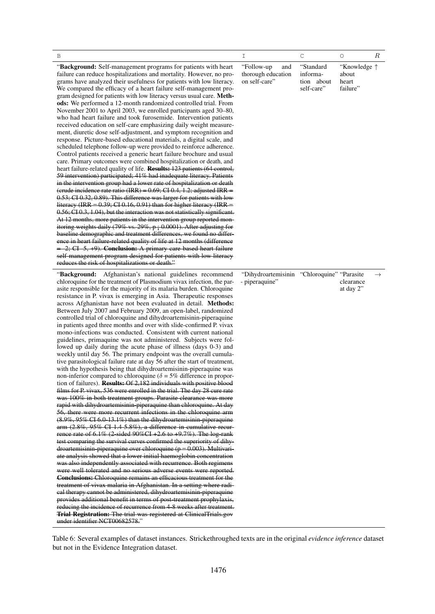<span id="page-15-0"></span>

| В                                                                                                                                                                                                                                                                                                                                                                                                                                                                                                                                                                                                                                                                                                                                                                                                                                                                                                                                                                                                                                                                                                                                                                                                                                                                                                                                                                                                                                                                                                                                                                                                                                                                                                                                                                                                                                                                                                                                                                                                                                                                                                                                                                                                                                                                                                                                                                                                                                                                                                                                           | Ι                                                             | $\mathsf C$                                       | $\circlearrowright$                                 | $\boldsymbol{R}$ |
|---------------------------------------------------------------------------------------------------------------------------------------------------------------------------------------------------------------------------------------------------------------------------------------------------------------------------------------------------------------------------------------------------------------------------------------------------------------------------------------------------------------------------------------------------------------------------------------------------------------------------------------------------------------------------------------------------------------------------------------------------------------------------------------------------------------------------------------------------------------------------------------------------------------------------------------------------------------------------------------------------------------------------------------------------------------------------------------------------------------------------------------------------------------------------------------------------------------------------------------------------------------------------------------------------------------------------------------------------------------------------------------------------------------------------------------------------------------------------------------------------------------------------------------------------------------------------------------------------------------------------------------------------------------------------------------------------------------------------------------------------------------------------------------------------------------------------------------------------------------------------------------------------------------------------------------------------------------------------------------------------------------------------------------------------------------------------------------------------------------------------------------------------------------------------------------------------------------------------------------------------------------------------------------------------------------------------------------------------------------------------------------------------------------------------------------------------------------------------------------------------------------------------------------------|---------------------------------------------------------------|---------------------------------------------------|-----------------------------------------------------|------------------|
| "Background: Self-management programs for patients with heart<br>failure can reduce hospitalizations and mortality. However, no pro-<br>grams have analyzed their usefulness for patients with low literacy.<br>We compared the efficacy of a heart failure self-management pro-<br>gram designed for patients with low literacy versus usual care. Meth-<br>ods: We performed a 12-month randomized controlled trial. From<br>November 2001 to April 2003, we enrolled participants aged 30–80,<br>who had heart failure and took furosemide. Intervention patients<br>received education on self-care emphasizing daily weight measure-<br>ment, diuretic dose self-adjustment, and symptom recognition and<br>response. Picture-based educational materials, a digital scale, and<br>scheduled telephone follow-up were provided to reinforce adherence.<br>Control patients received a generic heart failure brochure and usual<br>care. Primary outcomes were combined hospitalization or death, and<br>heart failure-related quality of life. <b>Results:</b> 123 patients (64 control,<br>59 intervention) participated; 41% had inadequate literacy. Patients<br>in the intervention group had a lower rate of hospitalization or death<br>(crude incidence rate ratio (IRR) = $0.69$ ; CI 0.4, 1.2; adjusted IRR =<br>$0.53$ ; CI $0.32$ , $0.89$ ). This difference was larger for patients with low<br>literacy (IRR = $0.39$ ; CI 0.16, 0.91) than for higher literacy (IRR =<br>0.56; CI 0.3, 1.04), but the interaction was not statistically significant.<br>At 12 months, more patients in the intervention group reported mon-<br>itoring weights daily (79% vs. 29%, $p_1$ 0.0001). After adjusting for<br>baseline demographic and treatment differences, we found no differ-<br>ence in heart failure-related quality of life at 12 months (difference<br>$= -2$ ; CI -5, +9). <b>Conclusion:</b> A primary care-based heart failure<br>self-management program designed for patients with low literacy<br>reduces the risk of hospitalizations or death."                                                                                                                                                                                                                                                                                                                                                                                                                                                              | "Follow-up"<br>and<br>thorough education<br>on self-care"     | "Standard<br>informa-<br>tion about<br>self-care" | "Knowledge $\uparrow$<br>about<br>heart<br>failure" |                  |
| "Background: Afghanistan's national guidelines recommend<br>chloroquine for the treatment of Plasmodium vivax infection, the par-<br>asite responsible for the majority of its malaria burden. Chloroquine<br>resistance in P. vivax is emerging in Asia. Therapeutic responses<br>across Afghanistan have not been evaluated in detail. Methods:<br>Between July 2007 and February 2009, an open-label, randomized<br>controlled trial of chloroquine and dihydroartemisinin-piperaquine<br>in patients aged three months and over with slide-confirmed P. vivax<br>mono-infections was conducted. Consistent with current national<br>guidelines, primaquine was not administered. Subjects were fol-<br>lowed up daily during the acute phase of illness (days 0-3) and<br>weekly until day 56. The primary endpoint was the overall cumula-<br>tive parasitological failure rate at day 56 after the start of treatment,<br>with the hypothesis being that dihydroartemisinin-piperaquine was<br>non-inferior compared to chloroquine ( $\delta = 5\%$ difference in propor-<br>tion of failures). <b>Results:</b> Of 2,182 individuals with positive blood<br>films for P. vivax, 536 were enrolled in the trial. The day 28 cure rate<br>was 100% in both treatment groups. Parasite clearance was more<br>rapid with dihydroartemisinin-piperaquine than chloroquine. At day<br>56, there were more recurrent infections in the chloroquine arm<br>(8.9%, 95% CI 6.0-13.1%) than the dihydroartemisinin-piperaquine<br>arm $(2.8\%, 95\% \text{ CI } 1.4-5.8\%),$ a difference in cumulative recur-<br>rence rate of $6.1\%$ (2-sided 90%CI +2.6 to +9.7%). The log-rank<br>test comparing the survival curves confirmed the superiority of dihy-<br>$d$ roartemisinin-piperaquine over chloroquine ( $p = 0.003$ ). Multivari-<br>ate analysis showed that a lower initial haemoglobin concentration<br>was also independently associated with recurrence. Both regimens<br>were well tolerated and no serious adverse events were reported.<br><b>Conclusions:</b> Chloroquine remains an efficacious treatment for the<br>treatment of vivax malaria in Afghanistan. In a setting where radi-<br>cal therapy cannot be administered, dihydroartemisinin-piperaquine<br>provides additional benefit in terms of post-treatment prophylaxis,<br>reducing the incidence of recurrence from 4-8 weeks after treatment.<br><b>Trial Registration:</b> The trial was registered at ClinicalTrials.gov<br>under identifier NCT00682578." | "Dihydroartemisinin "Chloroquine" "Parasite<br>- piperaquine" |                                                   | clearance<br>at day 2"                              | $\rightarrow$    |

Table 6: Several examples of dataset instances. Strickethroughed texts are in the original *evidence inference* dataset but not in the Evidence Integration dataset.